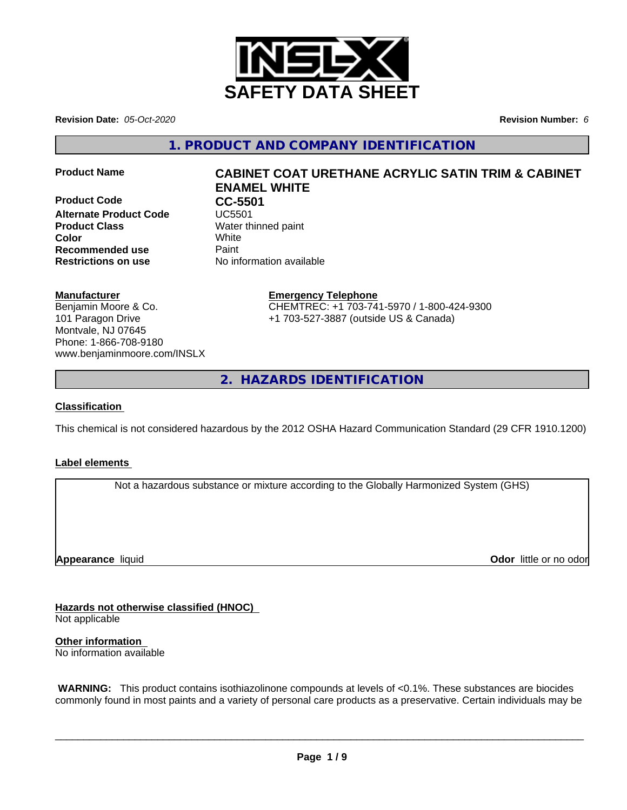

**Revision Date:** *05-Oct-2020* **Revision Number:** *6*

**1. PRODUCT AND COMPANY IDENTIFICATION**

**Product Code CC-5501**<br>Alternate Product Code **CC-5501 Alternate Product Code Product Class** Water thinned paint **Color** White **Recommended use Caint Restrictions on use** No information available

# **Product Name CABINET COAT URETHANE ACRYLIC SATIN TRIM & CABINET ENAMEL WHITE**

# **Manufacturer**

Benjamin Moore & Co. 101 Paragon Drive Montvale, NJ 07645 Phone: 1-866-708-9180 www.benjaminmoore.com/INSLX

# **Emergency Telephone**

CHEMTREC: +1 703-741-5970 / 1-800-424-9300 +1 703-527-3887 (outside US & Canada)

**2. HAZARDS IDENTIFICATION**

# **Classification**

This chemical is not considered hazardous by the 2012 OSHA Hazard Communication Standard (29 CFR 1910.1200)

# **Label elements**

Not a hazardous substance or mixture according to the Globally Harmonized System (GHS)

**Appearance** liquid

**Odor** little or no odor

**Hazards not otherwise classified (HNOC)**

Not applicable

**Other information** No information available

 **WARNING:** This product contains isothiazolinone compounds at levels of <0.1%. These substances are biocides commonly found in most paints and a variety of personal care products as a preservative. Certain individuals may be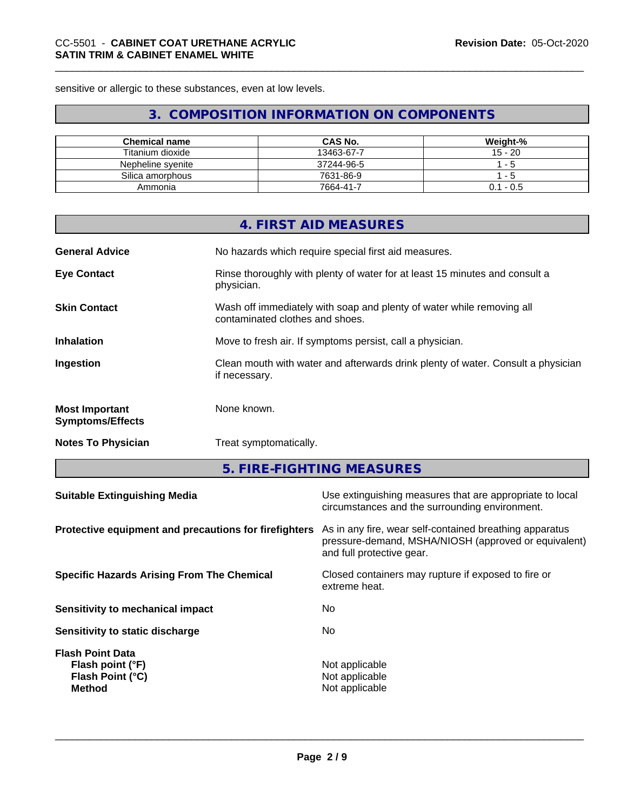sensitive or allergic to these substances, even at low levels.

# **3. COMPOSITION INFORMATION ON COMPONENTS**

| <b>Chemical name</b> | <b>CAS No.</b> | Weight-%       |
|----------------------|----------------|----------------|
| Titanium dioxide     | 13463-67-7     | $15 - 20$      |
| Nepheline svenite    | 37244-96-5     | - 5            |
| Silica amorphous     | 7631-86-9      | - 5            |
| Ammonia              | 7664-41-7      | l - 0.5<br>0.1 |

| <b>General Advice</b><br>No hazards which require special first aid measures.<br>Rinse thoroughly with plenty of water for at least 15 minutes and consult a<br><b>Eye Contact</b><br>physician.<br><b>Skin Contact</b><br>Wash off immediately with soap and plenty of water while removing all<br>contaminated clothes and shoes. |
|-------------------------------------------------------------------------------------------------------------------------------------------------------------------------------------------------------------------------------------------------------------------------------------------------------------------------------------|
|                                                                                                                                                                                                                                                                                                                                     |
|                                                                                                                                                                                                                                                                                                                                     |
|                                                                                                                                                                                                                                                                                                                                     |
| <b>Inhalation</b><br>Move to fresh air. If symptoms persist, call a physician.                                                                                                                                                                                                                                                      |
| Clean mouth with water and afterwards drink plenty of water. Consult a physician<br>Ingestion<br>if necessary.                                                                                                                                                                                                                      |
| None known.<br><b>Most Important</b><br><b>Symptoms/Effects</b>                                                                                                                                                                                                                                                                     |
| <b>Notes To Physician</b><br>Treat symptomatically.                                                                                                                                                                                                                                                                                 |
| 5. FIRE-FIGHTING MEASURES                                                                                                                                                                                                                                                                                                           |
| Use extinguishing measures that are appropriate to local<br><b>Suitable Extinguishing Media</b><br>circumstances and the surrounding environment.                                                                                                                                                                                   |
| As in any fire, wear self-contained breathing apparatus<br>Protective equipment and precautions for firefighters<br>pressure-demand, MSHA/NIOSH (approved or equivalent)<br>and full protective gear.                                                                                                                               |
|                                                                                                                                                                                                                                                                                                                                     |
| Closed containers may rupture if exposed to fire or<br><b>Specific Hazards Arising From The Chemical</b><br>extreme heat.                                                                                                                                                                                                           |

**Not applicable** 

**Page 2 / 9**

**Sensitivity to static discharge** No

**Flash point (°F)**<br> **Flash Point (°C)**<br> **Flash Point (°C)**<br> **Not** applicable

**Flash Point Data**

**Flash Point (°C)**<br>Method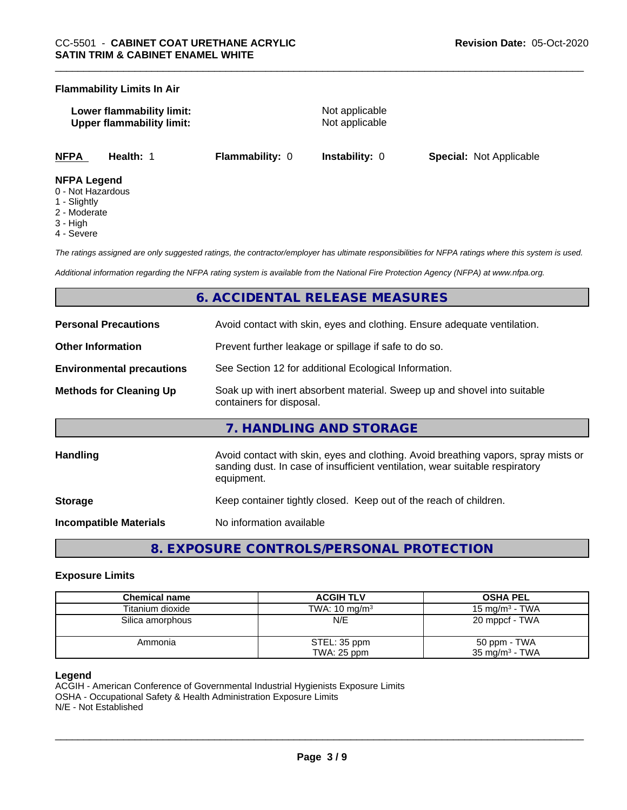#### **Flammability Limits In Air**

| Lower flammability limit:        |  |
|----------------------------------|--|
| <b>Upper flammability limit:</b> |  |

**Not applicable Not applicable** 

**NFPA Health:** 1 **Flammability:** 0 **Instability:** 0 **Special:** Not Applicable

#### **NFPA Legend**

- 0 Not Hazardous
- 1 Slightly
- 2 Moderate
- 3 High
- 4 Severe

*The ratings assigned are only suggested ratings, the contractor/employer has ultimate responsibilities for NFPA ratings where this system is used.*

*Additional information regarding the NFPA rating system is available from the National Fire Protection Agency (NFPA) at www.nfpa.org.*

# **6. ACCIDENTAL RELEASE MEASURES**

| <b>Personal Precautions</b>      | Avoid contact with skin, eyes and clothing. Ensure adequate ventilation.                                                                                                         |
|----------------------------------|----------------------------------------------------------------------------------------------------------------------------------------------------------------------------------|
| <b>Other Information</b>         | Prevent further leakage or spillage if safe to do so.                                                                                                                            |
| <b>Environmental precautions</b> | See Section 12 for additional Ecological Information.                                                                                                                            |
| <b>Methods for Cleaning Up</b>   | Soak up with inert absorbent material. Sweep up and shovel into suitable<br>containers for disposal.                                                                             |
|                                  | 7. HANDLING AND STORAGE                                                                                                                                                          |
| <b>Handling</b>                  | Avoid contact with skin, eyes and clothing. Avoid breathing vapors, spray mists or<br>sanding dust. In case of insufficient ventilation, wear suitable respiratory<br>equipment. |
| <b>Storage</b>                   | Keep container tightly closed. Keep out of the reach of children.                                                                                                                |
| <b>Incompatible Materials</b>    | No information available                                                                                                                                                         |

**8. EXPOSURE CONTROLS/PERSONAL PROTECTION**

### **Exposure Limits**

| Chemical name    | <b>ACGIH TLV</b>         | <b>OSHA PEL</b>           |
|------------------|--------------------------|---------------------------|
| Titanium dioxide | TWA: $10 \text{ mg/m}^3$ | 15 mg/m $3$ - TWA         |
| Silica amorphous | N/E                      | 20 mppcf - TWA            |
| Ammonia          | STEL: 35 ppm             | 50 ppm - TWA              |
|                  | TWA: 25 ppm              | $35 \text{ mg/m}^3$ - TWA |

### **Legend**

ACGIH - American Conference of Governmental Industrial Hygienists Exposure Limits OSHA - Occupational Safety & Health Administration Exposure Limits N/E - Not Established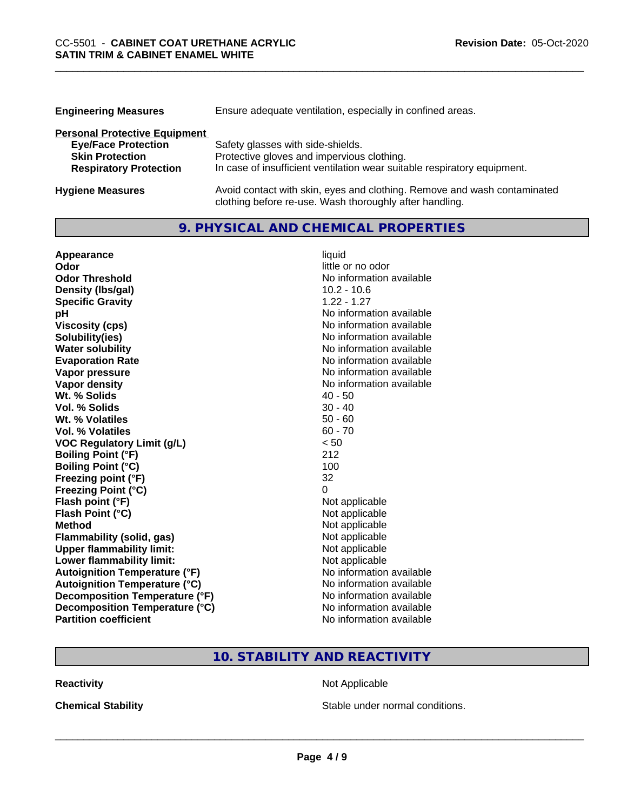| <b>Engineering Measures</b>          | Ensure adequate ventilation, especially in confined areas.               |
|--------------------------------------|--------------------------------------------------------------------------|
| <b>Personal Protective Equipment</b> |                                                                          |
| <b>Eye/Face Protection</b>           | Safety glasses with side-shields.                                        |
| <b>Skin Protection</b>               | Protective gloves and impervious clothing.                               |
| <b>Respiratory Protection</b>        | In case of insufficient ventilation wear suitable respiratory equipment. |
| <b>Hygiene Measures</b>              | Avoid contact with skin, eyes and clothing. Remove and wash contaminated |

clothing before re-use. Wash thoroughly after handling.

# **9. PHYSICAL AND CHEMICAL PROPERTIES**

| Appearance                           | liquid                   |
|--------------------------------------|--------------------------|
| Odor                                 | little or no odor        |
| <b>Odor Threshold</b>                | No information available |
| Density (Ibs/gal)                    | $10.2 - 10.6$            |
| <b>Specific Gravity</b>              | $1.22 - 1.27$            |
| рH                                   | No information available |
| <b>Viscosity (cps)</b>               | No information available |
| Solubility(ies)                      | No information available |
| <b>Water solubility</b>              | No information available |
| <b>Evaporation Rate</b>              | No information available |
| Vapor pressure                       | No information available |
| <b>Vapor density</b>                 | No information available |
| Wt. % Solids                         | $40 - 50$                |
| Vol. % Solids                        | $30 - 40$                |
| Wt. % Volatiles                      | $50 - 60$                |
| <b>Vol. % Volatiles</b>              | $60 - 70$                |
| <b>VOC Regulatory Limit (g/L)</b>    | < 50                     |
| <b>Boiling Point (°F)</b>            | 212                      |
| <b>Boiling Point (°C)</b>            | 100                      |
| Freezing point (°F)                  | 32                       |
| <b>Freezing Point (°C)</b>           | 0                        |
| Flash point (°F)                     | Not applicable           |
| Flash Point (°C)                     | Not applicable           |
| <b>Method</b>                        | Not applicable           |
| <b>Flammability (solid, gas)</b>     | Not applicable           |
| <b>Upper flammability limit:</b>     | Not applicable           |
| Lower flammability limit:            | Not applicable           |
| <b>Autoignition Temperature (°F)</b> | No information available |
| <b>Autoignition Temperature (°C)</b> | No information available |
| Decomposition Temperature (°F)       | No information available |
| Decomposition Temperature (°C)       | No information available |
| <b>Partition coefficient</b>         | No information available |

# **10. STABILITY AND REACTIVITY**

**Reactivity Not Applicable** Not Applicable

**Chemical Stability Chemical Stability** Stable under normal conditions.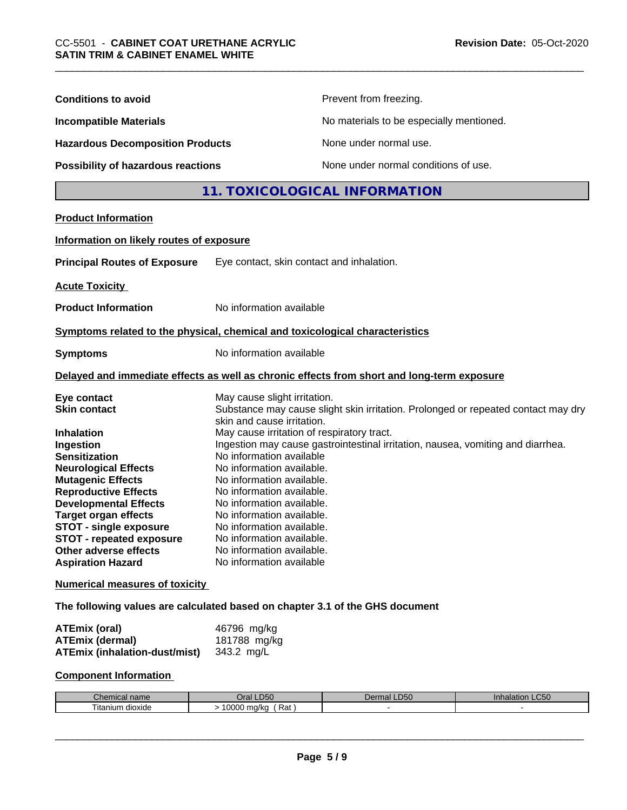| <b>Conditions to avoid</b>                | Prevent from freezing.                                                                                          |
|-------------------------------------------|-----------------------------------------------------------------------------------------------------------------|
| <b>Incompatible Materials</b>             | No materials to be especially mentioned.                                                                        |
| <b>Hazardous Decomposition Products</b>   | None under normal use.                                                                                          |
| <b>Possibility of hazardous reactions</b> | None under normal conditions of use.                                                                            |
|                                           | 11. TOXICOLOGICAL INFORMATION                                                                                   |
| <b>Product Information</b>                |                                                                                                                 |
|                                           |                                                                                                                 |
| Information on likely routes of exposure  |                                                                                                                 |
| <b>Principal Routes of Exposure</b>       | Eye contact, skin contact and inhalation.                                                                       |
| <b>Acute Toxicity</b>                     |                                                                                                                 |
| <b>Product Information</b>                | No information available                                                                                        |
|                                           | Symptoms related to the physical, chemical and toxicological characteristics                                    |
| <b>Symptoms</b>                           | No information available                                                                                        |
|                                           | Delayed and immediate effects as well as chronic effects from short and long-term exposure                      |
| Eye contact                               | May cause slight irritation.                                                                                    |
| <b>Skin contact</b>                       | Substance may cause slight skin irritation. Prolonged or repeated contact may dry<br>skin and cause irritation. |
| <b>Inhalation</b>                         | May cause irritation of respiratory tract.                                                                      |
| Ingestion                                 | Ingestion may cause gastrointestinal irritation, nausea, vomiting and diarrhea.                                 |
| <b>Sensitization</b>                      | No information available                                                                                        |
| <b>Neurological Effects</b>               | No information available.                                                                                       |
| <b>Mutagenic Effects</b>                  | No information available.                                                                                       |
| <b>Reproductive Effects</b>               | No information available.                                                                                       |
| <b>Developmental Effects</b>              | No information available.                                                                                       |
| <b>Target organ effects</b>               | No information available.                                                                                       |
| <b>STOT - single exposure</b>             | No information available.                                                                                       |
| <b>STOT - repeated exposure</b>           | No information available                                                                                        |
| Other adverse effects                     | No information available.                                                                                       |
| <b>Aspiration Hazard</b>                  | No information available                                                                                        |
| <b>Numerical measures of toxicity</b>     |                                                                                                                 |
|                                           | The following values are calculated based on chapter 3.1 of the GHS document                                    |
| <b>ATEmix (oral)</b>                      | 46796 mg/kg                                                                                                     |
| <b>ATEmix (dermal)</b>                    | 181788 mg/kg                                                                                                    |
| <b>ATEmix (inhalation-dust/mist)</b>      | 343.2 mg/L                                                                                                      |
| <b>Component Information</b>              |                                                                                                                 |

| <b>.</b><br>l name<br>Chemical | <b>D50</b><br>Jral               | D <sub>50</sub><br>rmal<br>Del | LC <sub>50</sub><br>Inhalation |
|--------------------------------|----------------------------------|--------------------------------|--------------------------------|
| --<br>⊺itanium<br>dioxide      | 10000<br>Rat<br>ma/ka<br>$\cdot$ |                                |                                |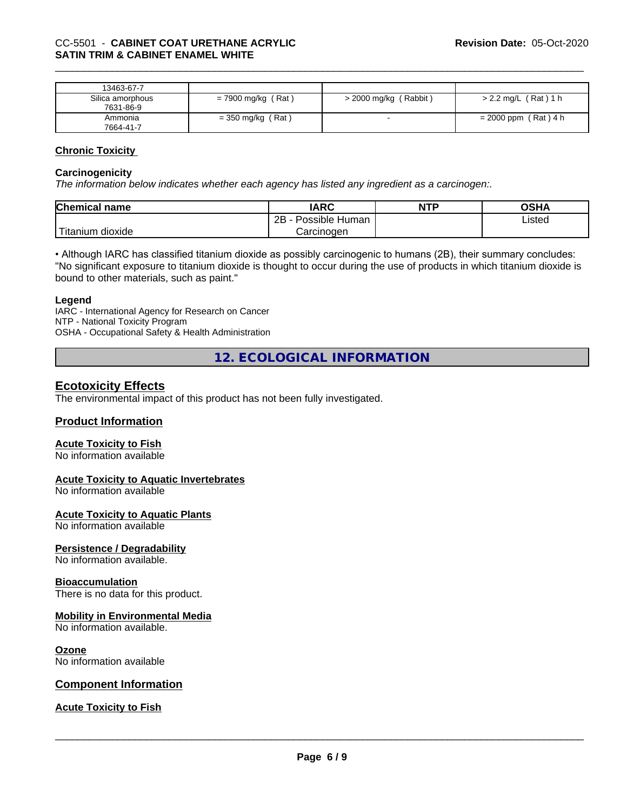| 13463-67-7       |                      |                         |                        |
|------------------|----------------------|-------------------------|------------------------|
| Silica amorphous | $= 7900$ mg/kg (Rat) | $>$ 2000 mg/kg (Rabbit) | $> 2.2$ mg/L (Rat) 1 h |
| 7631-86-9        |                      |                         |                        |
| Ammonia          | $=$ 350 mg/kg (Rat)  |                         | $= 2000$ ppm (Rat) 4 h |
| 7664-41-7        |                      |                         |                        |

#### **Chronic Toxicity**

#### **Carcinogenicity**

*The information below indicateswhether each agency has listed any ingredient as a carcinogen:.*

| <b>Chemical</b><br>name | <b>IARC</b>                  | <b>NTP</b> | <b>OSHA</b> |
|-------------------------|------------------------------|------------|-------------|
|                         | .<br>2B<br>Human<br>Possible |            | Listed      |
| m dioxide<br>l itanıum  | Carcinoɑen                   |            |             |

• Although IARC has classified titanium dioxide as possibly carcinogenic to humans (2B), their summary concludes: "No significant exposure to titanium dioxide is thought to occur during the use of products in which titanium dioxide is bound to other materials, such as paint."

#### **Legend**

IARC - International Agency for Research on Cancer NTP - National Toxicity Program OSHA - Occupational Safety & Health Administration

**12. ECOLOGICAL INFORMATION**

# **Ecotoxicity Effects**

The environmental impact of this product has not been fully investigated.

# **Product Information**

#### **Acute Toxicity to Fish**

No information available

#### **Acute Toxicity to Aquatic Invertebrates**

No information available

#### **Acute Toxicity to Aquatic Plants**

No information available

#### **Persistence / Degradability**

No information available.

#### **Bioaccumulation**

There is no data for this product.

#### **Mobility in Environmental Media**

No information available.

#### **Ozone**

No information available

### **Component Information**

### **Acute Toxicity to Fish**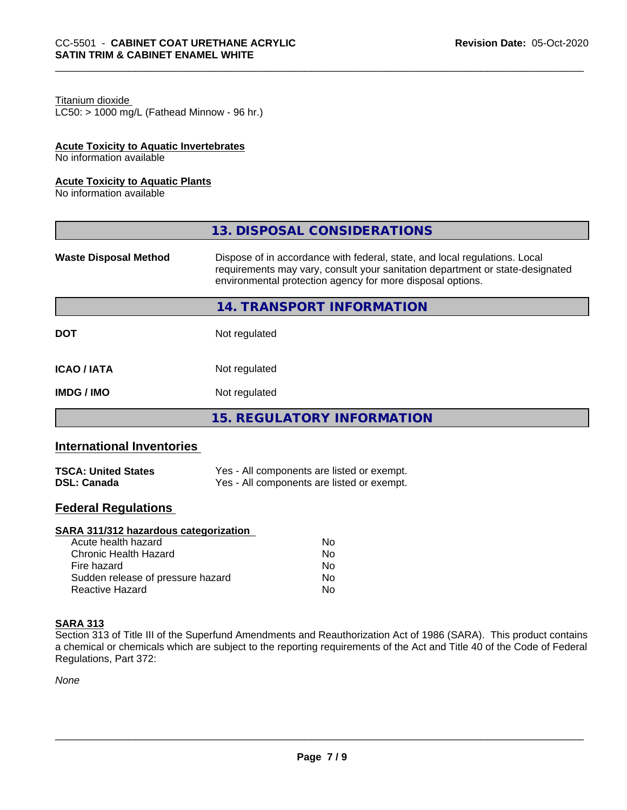# Titanium dioxide

 $LC50:$  > 1000 mg/L (Fathead Minnow - 96 hr.)

# **Acute Toxicity to Aquatic Invertebrates**

No information available

#### **Acute Toxicity to Aquatic Plants**

No information available

|                              | 13. DISPOSAL CONSIDERATIONS                                                                                                                                                                                               |
|------------------------------|---------------------------------------------------------------------------------------------------------------------------------------------------------------------------------------------------------------------------|
| <b>Waste Disposal Method</b> | Dispose of in accordance with federal, state, and local regulations. Local<br>requirements may vary, consult your sanitation department or state-designated<br>environmental protection agency for more disposal options. |
|                              | 14. TRANSPORT INFORMATION                                                                                                                                                                                                 |
| <b>DOT</b>                   | Not regulated                                                                                                                                                                                                             |
| <b>ICAO/IATA</b>             | Not regulated                                                                                                                                                                                                             |
| <b>IMDG/IMO</b>              | Not regulated                                                                                                                                                                                                             |
|                              | <b>15. REGULATORY INFORMATION</b>                                                                                                                                                                                         |

# **International Inventories**

| <b>TSCA: United States</b> | Yes - All components are listed or exempt. |
|----------------------------|--------------------------------------------|
| <b>DSL: Canada</b>         | Yes - All components are listed or exempt. |

# **Federal Regulations**

### **SARA 311/312 hazardous categorization**

| Acute health hazard               | No |
|-----------------------------------|----|
| Chronic Health Hazard             | N٥ |
| Fire hazard                       | Nο |
| Sudden release of pressure hazard | Nο |
| Reactive Hazard                   | N٥ |

### **SARA 313**

Section 313 of Title III of the Superfund Amendments and Reauthorization Act of 1986 (SARA). This product contains a chemical or chemicals which are subject to the reporting requirements of the Act and Title 40 of the Code of Federal Regulations, Part 372:

*None*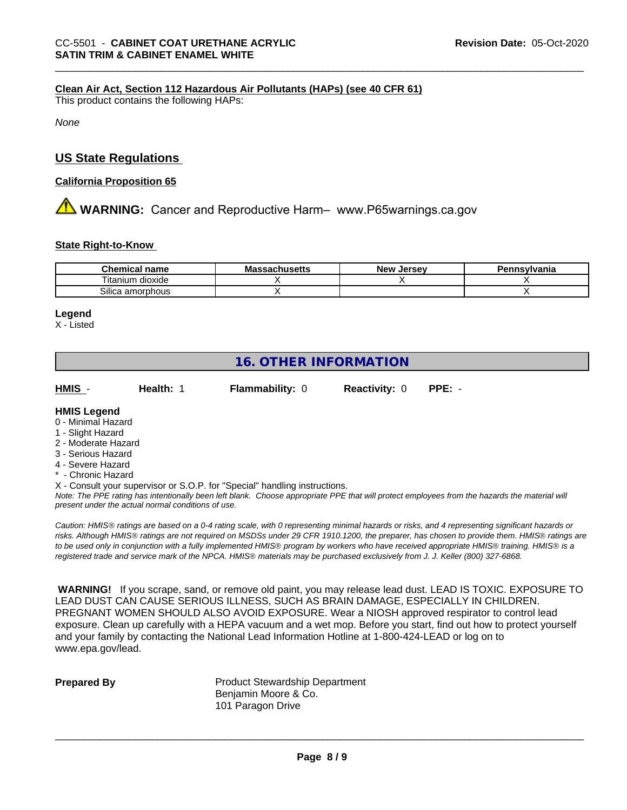### **Clean Air Act,Section 112 Hazardous Air Pollutants (HAPs) (see 40 CFR 61)**

This product contains the following HAPs:

*None*

# **US State Regulations**

#### **California Proposition 65**

**AVIMARNING:** Cancer and Reproductive Harm– www.P65warnings.ca.gov

#### **State Right-to-Know**

| Chemical<br>name      | . .<br>Mass<br>.ehcatta | Jersev<br><b>Nev</b> | Pennsvlvania |
|-----------------------|-------------------------|----------------------|--------------|
| dioxide<br>l itanium  |                         |                      |              |
| Silica<br>ເ amorphous |                         |                      |              |

#### **Legend**

X - Listed

# **16. OTHER INFORMATION**

**HMIS** - **Health:** 1 **Flammability:** 0 **Reactivity:** 0 **PPE:** -

**HMIS Legend**

- 0 Minimal Hazard
- 1 Slight Hazard
- 2 Moderate Hazard
- 3 Serious Hazard
- 4 Severe Hazard
- **Chronic Hazard**

X - Consult your supervisor or S.O.P. for "Special" handling instructions.

*Note: The PPE rating has intentionally been left blank. Choose appropriate PPE that will protect employees from the hazards the material will present under the actual normal conditions of use.*

*Caution: HMISÒ ratings are based on a 0-4 rating scale, with 0 representing minimal hazards or risks, and 4 representing significant hazards or risks. Although HMISÒ ratings are not required on MSDSs under 29 CFR 1910.1200, the preparer, has chosen to provide them. HMISÒ ratings are to be used only in conjunction with a fully implemented HMISÒ program by workers who have received appropriate HMISÒ training. HMISÒ is a registered trade and service mark of the NPCA. HMISÒ materials may be purchased exclusively from J. J. Keller (800) 327-6868.*

 **WARNING!** If you scrape, sand, or remove old paint, you may release lead dust. LEAD IS TOXIC. EXPOSURE TO LEAD DUST CAN CAUSE SERIOUS ILLNESS, SUCH AS BRAIN DAMAGE, ESPECIALLY IN CHILDREN. PREGNANT WOMEN SHOULD ALSO AVOID EXPOSURE.Wear a NIOSH approved respirator to control lead exposure. Clean up carefully with a HEPA vacuum and a wet mop. Before you start, find out how to protect yourself and your family by contacting the National Lead Information Hotline at 1-800-424-LEAD or log on to www.epa.gov/lead.

**Prepared By** Product Stewardship Department Benjamin Moore & Co. 101 Paragon Drive